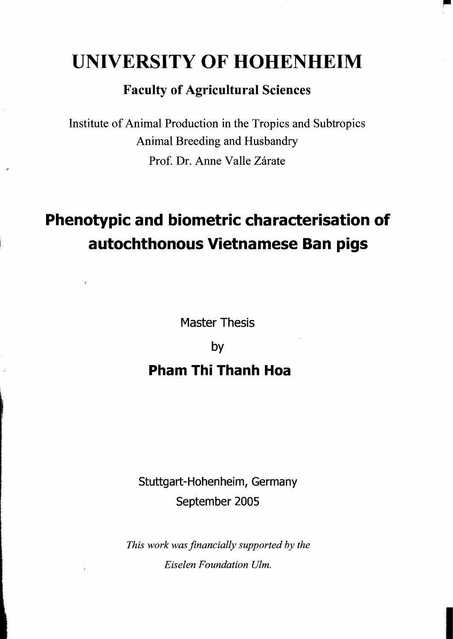# **UNIVERSITY OF HOHENHEIM**

#### **Faculty of Agricultural Sciences**

Institute of Animal Production in the Tropics and Subtropics Animal Breeding and Husbandry Prof. Dr. Anne Valle Zárate

## **Phenotypic and biometric characterisation of autoehthonous Vietnamese Ban pigs**

Master Thesis

 $\epsilon$ 

by

### **Pham Thi Thanh Hoa**

Stuttgart-Hohenheim, Germany September 2005

*This work was financially supported by the Eiselen Foundation Ulm,*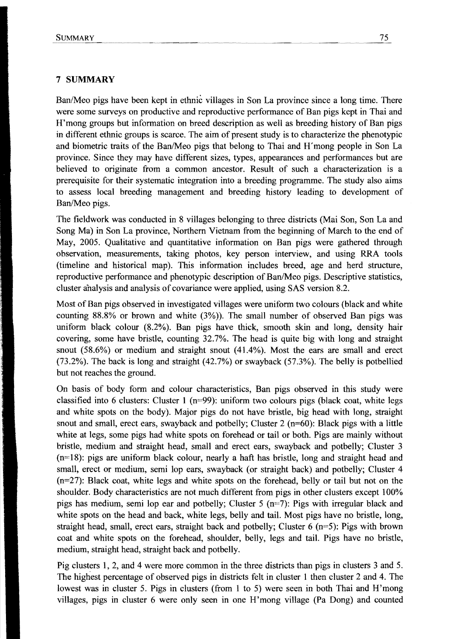#### **7 SUMMARY**

Ban/Meo pigs have been kept in ethnic villages in Son La province since a long time. There were some surveys on productive and reproductive performance of Ban pigs kept in Thai and H'mong groups but information on breed description as well as breeding history of Ban pigs in different ethnic groups is scarce. The aim of present study is to characterize the phenotypic and biometric traits of the Ban/Meo pigs that belong to Thai and H'mong people in Son La province. Since they may have different sizes, types, appearances and performances but are believed to originate from a common ancestor. Result of such a characterization is a prerequisite for their systematic integration into a breeding programme. The study also aims to assess local breeding management and breeding history leading to development of Ban/Meo pigs.

The fieldwork was conducted in 8 villages belonging to three districts (Mai Son, Son La and Song Ma) in Son La province, Northem Vietnam from the beginning of March to the end of May, 2005. Qualitative and quantitative information on Ban pigs were gathered through observation, measurements, taking photos, key person interview, and using RRA tools (timeline and historical map). This information includes breed, age and herd structure, reproductive performance and phenotypic description of Ban/Meo pigs. Descriptive statistics, cluster analysis and analysis of covariance were applied, using SAS version 8.2.

Most of Ban pigs observed in investigated villages were uniform two colours (black and white counting 88.8% or brown and white (3%)). The small number of observed Ban pigs was uniform black colour (8.2%). Ban pigs have thick, smooth skin and long, density hair covering, some have bristle, counting 32.7%. The head is quite big with long and straight snout (58.6%) or medium and straight snout (41.4%). Most the ears are smal1 and erect  $(73.2\%)$ . The back is long and straight  $(42.7\%)$  or swayback  $(57.3\%)$ . The belly is potbellied but not reaches the ground.

On basis of body form and colour characteristics, Ban pigs observed in this study were classified into 6 clusters: Cluster 1 (n=99): uniform two colours pigs (black coat, white legs and white spots on the body). Major pigs do not have bristle, big head with long, straight snout and small, erect ears, swayback and potbelly; Cluster  $2$  (n=60): Black pigs with a little white at legs, some pigs had white spots on forehead or tail or both. Pigs are mainly without bristle, medium and straight head, small and erect ears, swayback and potbelly; Cluster 3 (n=18): pigs are uniform black colour, nearly a haft has bristle, long and straight head and small, erect or medium, semi lop ears, swayback (or straight back) and potbelly; Cluster 4 (n=27): Black coat, white legs and white spots on the forehead, belly or tail but not on the shoulder. Body characteristics are not much different from pigs in other clusters except 100% pigs has medium, semi lop ear and potbelly; Cluster 5 (n=7): Pigs with irregular black and white spots on the head and back, white legs, belly and tail. Most pigs have no bristle, long, straight head, small, erect ears, straight back and potbelly; Cluster 6 (n=5): Pigs with brown coat and white spots on the forehead, shoulder, belly, legs and tail. Pigs have no bristle, medium, straight head, straight back and potbelly.

Pig clusters 1, 2, and 4 were more common in the three districts than pigs in clusters 3 and 5. The highest percentage of observed pigs in districts felt in cluster 1 then cluster 2 and 4. The lowest was in cluster 5. Pigs in clusters (from 1 to 5) were seen in both Thai and H'mong villages, pigs in cluster 6 were only seen in one H'mong village (Pa Dong) and counted